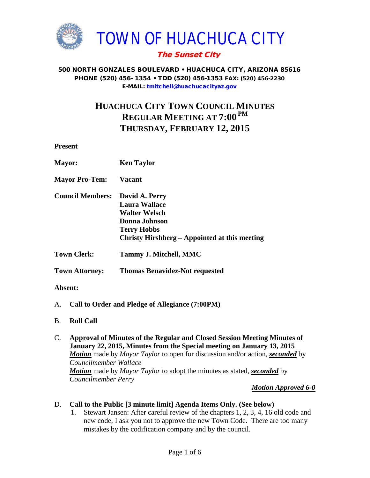

## The Sunset City

#### 500 NORTH GONZALES BOULEVARD • HUACHUCA CITY, ARIZONA 85616 PHONE (520) 456- 1354 • TDD (520) 456-1353 FAX: (520) 456-2230 E-MAIL: [tmitchell@huachucacityaz.gov](mailto:tmitchell@huachucacityaz.gov)

# **HUACHUCA CITY TOWN COUNCIL MINUTES REGULAR MEETING AT 7:00 PM THURSDAY, FEBRUARY 12, 2015**

**Present**

| <b>Mayor:</b>           | <b>Ken Taylor</b>                                                                                                                               |
|-------------------------|-------------------------------------------------------------------------------------------------------------------------------------------------|
| <b>Mayor Pro-Tem:</b>   | <b>Vacant</b>                                                                                                                                   |
| <b>Council Members:</b> | David A. Perry<br>Laura Wallace<br><b>Walter Welsch</b><br>Donna Johnson<br><b>Terry Hobbs</b><br>Christy Hirshberg – Appointed at this meeting |
| <b>Town Clerk:</b>      | Tammy J. Mitchell, MMC                                                                                                                          |
| <b>Town Attorney:</b>   | <b>Thomas Benavidez-Not requested</b>                                                                                                           |
| Absent:                 |                                                                                                                                                 |

- A. **Call to Order and Pledge of Allegiance (7:00PM)**
- B. **Roll Call**
- C. **Approval of Minutes of the Regular and Closed Session Meeting Minutes of January 22, 2015, Minutes from the Special meeting on January 13, 2015** *Motion* made by *Mayor Taylor* to open for discussion and/or action, *seconded* by *Councilmember Wallace Motion* made by *Mayor Taylor* to adopt the minutes as stated, *seconded* by *Councilmember Perry*

*Motion Approved 6-0*

- D. **Call to the Public [3 minute limit] Agenda Items Only. (See below)**
	- 1. Stewart Jansen: After careful review of the chapters 1, 2, 3, 4, 16 old code and new code, I ask you not to approve the new Town Code. There are too many mistakes by the codification company and by the council.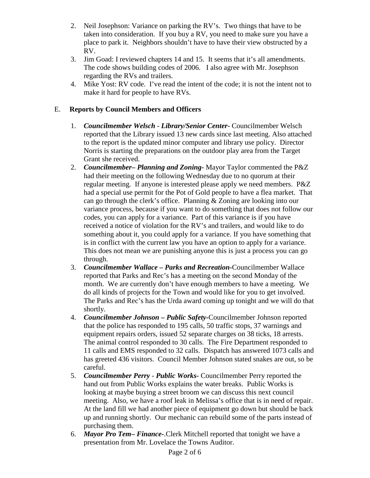- 2. Neil Josephson: Variance on parking the RV's. Two things that have to be taken into consideration. If you buy a RV, you need to make sure you have a place to park it. Neighbors shouldn't have to have their view obstructed by a RV.
- 3. Jim Goad: I reviewed chapters 14 and 15. It seems that it's all amendments. The code shows building codes of 2006. I also agree with Mr. Josephson regarding the RVs and trailers.
- 4. Mike Yost: RV code. I've read the intent of the code; it is not the intent not to make it hard for people to have RVs.

## E. **Reports by Council Members and Officers**

- 1. *Councilmember Welsch - Library/Senior Center***-** Councilmember Welsch reported that the Library issued 13 new cards since last meeting. Also attached to the report is the updated minor computer and library use policy. Director Norris is starting the preparations on the outdoor play area from the Target Grant she received.
- 2. *Councilmember***–** *Planning and Zoning-* Mayor Taylor commented the P&Z had their meeting on the following Wednesday due to no quorum at their regular meeting. If anyone is interested please apply we need members. P&Z had a special use permit for the Pot of Gold people to have a flea market. That can go through the clerk's office. Planning & Zoning are looking into our variance process, because if you want to do something that does not follow our codes, you can apply for a variance. Part of this variance is if you have received a notice of violation for the RV's and trailers, and would like to do something about it, you could apply for a variance. If you have something that is in conflict with the current law you have an option to apply for a variance. This does not mean we are punishing anyone this is just a process you can go through.
- 3. *Councilmember Wallace* **–** *Parks and Recreation***-**Councilmember Wallace reported that Parks and Rec's has a meeting on the second Monday of the month. We are currently don't have enough members to have a meeting. We do all kinds of projects for the Town and would like for you to get involved. The Parks and Rec's has the Urda award coming up tonight and we will do that shortly.
- 4. *Councilmember Johnson – Public Safety-*Councilmember Johnson reported that the police has responded to 195 calls, 50 traffic stops, 37 warnings and equipment repairs orders, issued 52 separate charges on 38 ticks, 18 arrests. The animal control responded to 30 calls. The Fire Department responded to 11 calls and EMS responded to 32 calls. Dispatch has answered 1073 calls and has greeted 436 visitors. Council Member Johnson stated snakes are out, so be careful.
- 5. *Councilmember Perry Public Works-* Councilmember Perry reported the hand out from Public Works explains the water breaks. Public Works is looking at maybe buying a street broom we can discuss this next council meeting. Also, we have a roof leak in Melissa's office that is in need of repair. At the land fill we had another piece of equipment go down but should be back up and running shortly. Our mechanic can rebuild some of the parts instead of purchasing them.
- 6. *Mayor Pro Tem***–** *Finance-*.Clerk Mitchell reported that tonight we have a presentation from Mr. Lovelace the Towns Auditor.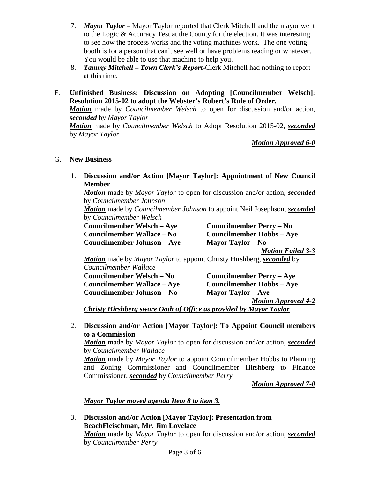- 7. *Mayor Taylor –* Mayor Taylor reported that Clerk Mitchell and the mayor went to the Logic & Accuracy Test at the County for the election. It was interesting to see how the process works and the voting machines work. The one voting booth is for a person that can't see well or have problems reading or whatever. You would be able to use that machine to help you.
- 8. *Tammy Mitchell – Town Clerk's Report-*Clerk Mitchell had nothing to report at this time.
- F. **Unfinished Business: Discussion on Adopting [Councilmember Welsch]: Resolution 2015-02 to adopt the Webster's Robert's Rule of Order.**

*Motion* made by *Councilmember Welsch* to open for discussion and/or action, *seconded* by *Mayor Taylor*

*Motion* made by *Councilmember Welsch* to Adopt Resolution 2015-02, *seconded* by *Mayor Taylor*

*Motion Approved 6-0*

### G. **New Business**

1. **Discussion and/or Action [Mayor Taylor]: Appointment of New Council Member**

*Motion* made by *Mayor Taylor* to open for discussion and/or action, *seconded* by *Councilmember Johnson*

*Motion* made by *Councilmember Johnson* to appoint Neil Josephson, *seconded* by *Councilmember Welsch*

**Councilmember Welsch – Aye Councilmember Perry – No Councilmember Wallace – No Councilmember Hobbs – Aye Councilmember Johnson – Aye Mayor Taylor – No**

*Motion Failed 3-3*

*Motion* made by *Mayor Taylor* to appoint Christy Hirshberg, *seconded* by *Councilmember Wallace*

**Councilmember Welsch – No Councilmember Perry – Aye Councilmember Wallace – Aye Councilmember Hobbs – Aye Councilmember Johnson – No Mayor Taylor – Aye**

*Motion Approved 4-2*

*Christy Hirshberg swore Oath of Office as provided by Mayor Taylor*

2. **Discussion and/or Action [Mayor Taylor]: To Appoint Council members to a Commission**

*Motion* made by *Mayor Taylor* to open for discussion and/or action, *seconded* by *Councilmember Wallace*

*Motion* made by *Mayor Taylor* to appoint Councilmember Hobbs to Planning and Zoning Commissioner and Councilmember Hirshberg to Finance Commissioner, *seconded* by *Councilmember Perry*

*Motion Approved 7-0*

*Mayor Taylor moved agenda Item 8 to item 3.*

3. **Discussion and/or Action [Mayor Taylor]: Presentation from BeachFleischman, Mr. Jim Lovelace** *Motion* made by *Mayor Taylor* to open for discussion and/or action, *seconded* by *Councilmember Perry*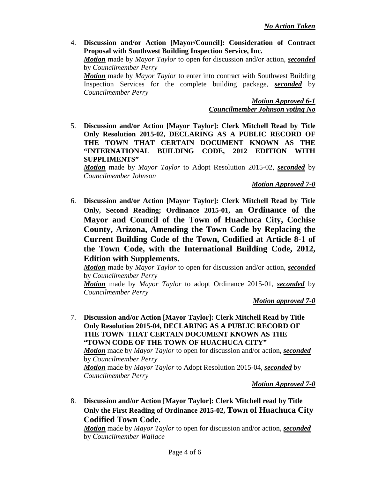4. **Discussion and/or Action [Mayor/Council]: Consideration of Contract Proposal with Southwest Building Inspection Service, Inc.**

*Motion* made by *Mayor Taylor* to open for discussion and/or action, *seconded* by *Councilmember Perry*

*Motion* made by *Mayor Taylor* to enter into contract with Southwest Building Inspection Services for the complete building package, *seconded* by *Councilmember Perry*

> *Motion Approved 6-1 Councilmember Johnson voting No*

5. **Discussion and/or Action [Mayor Taylor]: Clerk Mitchell Read by Title Only Resolution 2015-02, DECLARING AS A PUBLIC RECORD OF THE TOWN THAT CERTAIN DOCUMENT KNOWN AS THE "INTERNATIONAL BUILDING CODE, 2012 EDITION WITH SUPPLIMENTS"**

*Motion* made by *Mayor Taylor* to Adopt Resolution 2015-02, *seconded* by *Councilmember Johnson*

*Motion Approved 7-0*

6. **Discussion and/or Action [Mayor Taylor]: Clerk Mitchell Read by Title Only, Second Reading; Ordinance 2015-01, an Ordinance of the Mayor and Council of the Town of Huachuca City, Cochise County, Arizona, Amending the Town Code by Replacing the Current Building Code of the Town, Codified at Article 8-1 of the Town Code, with the International Building Code, 2012, Edition with Supplements.**

*Motion* made by *Mayor Taylor* to open for discussion and/or action, *seconded* by *Councilmember Perry*

*Motion* made by *Mayor Taylor* to adopt Ordinance 2015-01, *seconded* by *Councilmember Perry*

*Motion approved 7-0*

7. **Discussion and/or Action [Mayor Taylor]: Clerk Mitchell Read by Title Only Resolution 2015-04, DECLARING AS A PUBLIC RECORD OF THE TOWN THAT CERTAIN DOCUMENT KNOWN AS THE "TOWN CODE OF THE TOWN OF HUACHUCA CITY"** *Motion* made by *Mayor Taylor* to open for discussion and/or action, *seconded* by *Councilmember Perry*

*Motion* made by *Mayor Taylor* to Adopt Resolution 2015-04, *seconded* by *Councilmember Perry*

*Motion Approved 7-0*

8. **Discussion and/or Action [Mayor Taylor]: Clerk Mitchell read by Title Only the First Reading of Ordinance 2015-02, Town of Huachuca City Codified Town Code.**

*Motion* made by *Mayor Taylor* to open for discussion and/or action, *seconded* by *Councilmember Wallace*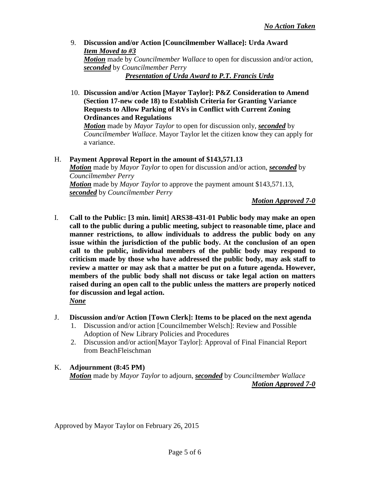- 9. **Discussion and/or Action [Councilmember Wallace]: Urda Award** *Item Moved to #3 Motion* made by *Councilmember Wallace* to open for discussion and/or action, *seconded* by *Councilmember Perry Presentation of Urda Award to P.T. Francis Urda*
- 10. **Discussion and/or Action [Mayor Taylor]: P&Z Consideration to Amend (Section 17-new code 18) to Establish Criteria for Granting Variance Requests to Allow Parking of RVs in Conflict with Current Zoning Ordinances and Regulations**

*Motion* made by *Mayor Taylor* to open for discussion only, *seconded* by *Councilmember Wallace*. Mayor Taylor let the citizen know they can apply for a variance.

H. **Payment Approval Report in the amount of \$143,571.13** *Motion* made by *Mayor Taylor* to open for discussion and/or action, *seconded* by *Councilmember Perry Motion* made by *Mayor Taylor* to approve the payment amount \$143,571.13, *seconded* by *Councilmember Perry*

*Motion Approved 7-0*

- I. **Call to the Public: [3 min. limit] ARS38-431-01 Public body may make an open call to the public during a public meeting, subject to reasonable time, place and manner restrictions, to allow individuals to address the public body on any issue within the jurisdiction of the public body. At the conclusion of an open call to the public, individual members of the public body may respond to criticism made by those who have addressed the public body, may ask staff to review a matter or may ask that a matter be put on a future agenda. However, members of the public body shall not discuss or take legal action on matters raised during an open call to the public unless the matters are properly noticed for discussion and legal action.** *None*
- J. **Discussion and/or Action [Town Clerk]: Items to be placed on the next agenda**
	- 1. Discussion and/or action [Councilmember Welsch]: Review and Possible Adoption of New Library Policies and Procedures
	- 2. Discussion and/or action[Mayor Taylor]: Approval of Final Financial Report from BeachFleischman

#### K. **Adjournment (8:45 PM)** *Motion* made by *Mayor Taylor* to adjourn, *seconded* by *Councilmember Wallace Motion Approved 7-0*

Approved by Mayor Taylor on February 26, 2015